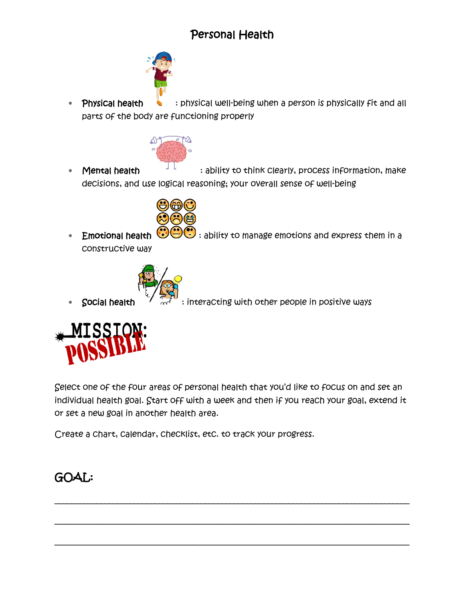# Personal Health



∗ Physical health ↓ : physical well-being when a person is physically fit and all parts of the body are functioning properly



∗ **Mental health in the set of the set of think clearly, process information, make** decisions, and use logical reasoning; your overall sense of well-being



∗ Emotional health  $\bigcirc$ ⊖© : ability to manage emotions and express them in a constructive way



**Social health**  $\overline{A}$   $\overline{A}$  : interacting with other people in positive ways



Select one of the four areas of personal health that you'd like to focus on and set an individual health goal. Start off with a week and then if you reach your goal, extend it or set a new goal in another health area.

\_\_\_\_\_\_\_\_\_\_\_\_\_\_\_\_\_\_\_\_\_\_\_\_\_\_\_\_\_\_\_\_\_\_\_\_\_\_\_\_\_\_\_\_\_\_\_\_\_\_\_\_\_\_\_\_\_\_\_\_\_\_\_\_\_\_\_\_\_\_\_\_\_\_\_\_\_\_\_\_\_\_\_\_\_

\_\_\_\_\_\_\_\_\_\_\_\_\_\_\_\_\_\_\_\_\_\_\_\_\_\_\_\_\_\_\_\_\_\_\_\_\_\_\_\_\_\_\_\_\_\_\_\_\_\_\_\_\_\_\_\_\_\_\_\_\_\_\_\_\_\_\_\_\_\_\_\_\_\_\_\_\_\_\_\_\_\_\_\_\_

\_\_\_\_\_\_\_\_\_\_\_\_\_\_\_\_\_\_\_\_\_\_\_\_\_\_\_\_\_\_\_\_\_\_\_\_\_\_\_\_\_\_\_\_\_\_\_\_\_\_\_\_\_\_\_\_\_\_\_\_\_\_\_\_\_\_\_\_\_\_\_\_\_\_\_\_\_\_\_\_\_\_\_\_\_

Create a chart, calendar, checklist, etc. to track your progress.

## GOAL: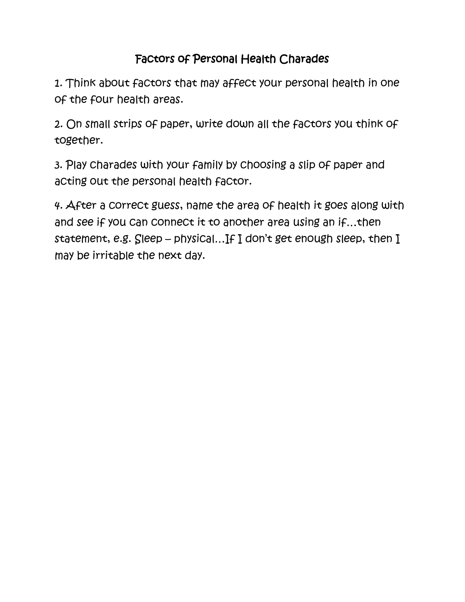## Factors of Personal Health Charades

1. Think about factors that may affect your personal health in one of the four health areas.

2. On small strips of paper, write down all the factors you think of together.

3. Play charades with your family by choosing a slip of paper and acting out the personal health factor.

4. After a correct guess, name the area of health it goes along with and see if you can connect it to another area using an if…then statement, e.g. Sleep – physical…If I don't get enough sleep, then I may be irritable the next day.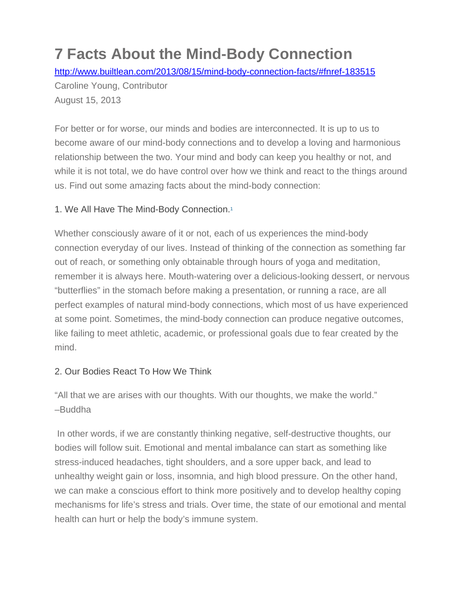# **7 Facts About the Mind-Body Connection**

<http://www.builtlean.com/2013/08/15/mind-body-connection-facts/#fnref-183515>

Caroline Young, Contributor August 15, 2013

For better or for worse, our minds and bodies are interconnected. It is up to us to become aware of our mind-body connections and to develop a loving and harmonious relationship between the two. Your mind and body can keep you healthy or not, and while it is not total, we do have control over how we think and react to the things around us. Find out some amazing facts about the mind-body connection:

## 1. We All Have The Mind-Body Connection[.1](http://www.builtlean.com/2013/08/15/mind-body-connection-facts/#fn-18351-1)

Whether consciously aware of it or not, each of us experiences the mind-body connection everyday of our lives. Instead of thinking of the connection as something far out of reach, or something only obtainable through hours of yoga and meditation, remember it is always here. Mouth-watering over a delicious-looking dessert, or nervous "butterflies" in the stomach before making a presentation, or running a race, are all perfect examples of natural mind-body connections, which most of us have experienced at some point. Sometimes, the mind-body connection can produce negative outcomes, like failing to meet athletic, academic, or professional goals due to fear created by the mind.

## 2. Our Bodies React To How We Think

"All that we are arises with our thoughts. With our thoughts, we make the world." –Buddha

In other words, if we are constantly thinking negative, self-destructive thoughts, our bodies will follow suit. Emotional and mental imbalance can start as something like stress-induced headaches, tight shoulders, and a sore upper back, and lead to unhealthy weight gain or loss, insomnia, and high blood pressure. On the other hand, we can make a conscious effort to think more positively and to develop healthy coping mechanisms for life's stress and trials. Over time, the state of our emotional and mental health can hurt or help the body's immune system.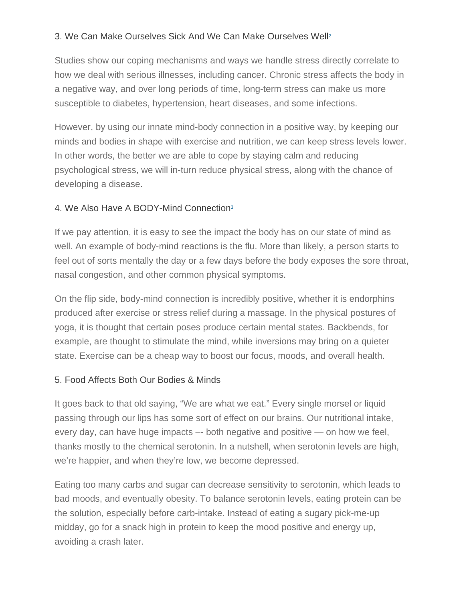## 3. We Can Make Ourselves Sick And We Can Make Ourselves Wel[l2](http://www.builtlean.com/2013/08/15/mind-body-connection-facts/#fn-18351-2)

Studies show our coping mechanisms and ways we handle stress directly correlate to how we deal with serious illnesses, including cancer. Chronic stress affects the body in a negative way, and over long periods of time, long-term stress can make us more susceptible to diabetes, hypertension, heart diseases, and some infections.

However, by using our innate mind-body connection in a positive way, by keeping our minds and bodies in shape with exercise and nutrition, we can keep stress levels lower. In other words, the better we are able to cope by staying calm and reducing psychological stress, we will in-turn reduce physical stress, along with the chance of developing a disease.

#### 4. We Also Have A BODY-Mind Connectio[n3](http://www.builtlean.com/2013/08/15/mind-body-connection-facts/#fn-18351-3)

If we pay attention, it is easy to see the impact the body has on our state of mind as well. An example of body-mind reactions is the flu. More than likely, a person starts to feel out of sorts mentally the day or a few days before the body exposes the sore throat, nasal congestion, and other common physical symptoms.

On the flip side, body-mind connection is incredibly positive, whether it is endorphins produced after exercise or stress relief during a massage. In the physical postures of yoga, it is thought that certain poses produce certain mental states. Backbends, for example, are thought to stimulate the mind, while inversions may bring on a quieter state. Exercise can be a cheap way to boost our focus, moods, and overall health.

#### 5. Food Affects Both Our Bodies & Minds

It goes back to that old saying, "We are what we eat." Every single morsel or liquid passing through our lips has some sort of effect on our brains. Our nutritional intake, every day, can have huge impacts –- both negative and positive — on how we feel, thanks mostly to the chemical serotonin. In a nutshell, when serotonin levels are high, we're happier, and when they're low, we become depressed.

Eating too many carbs and sugar can decrease sensitivity to serotonin, which leads to bad moods, and eventually obesity. To balance serotonin levels, eating protein can be the solution, especially before carb-intake. Instead of eating a sugary pick-me-up midday, go for a snack high in protein to keep the mood positive and energy up, avoiding a crash later.